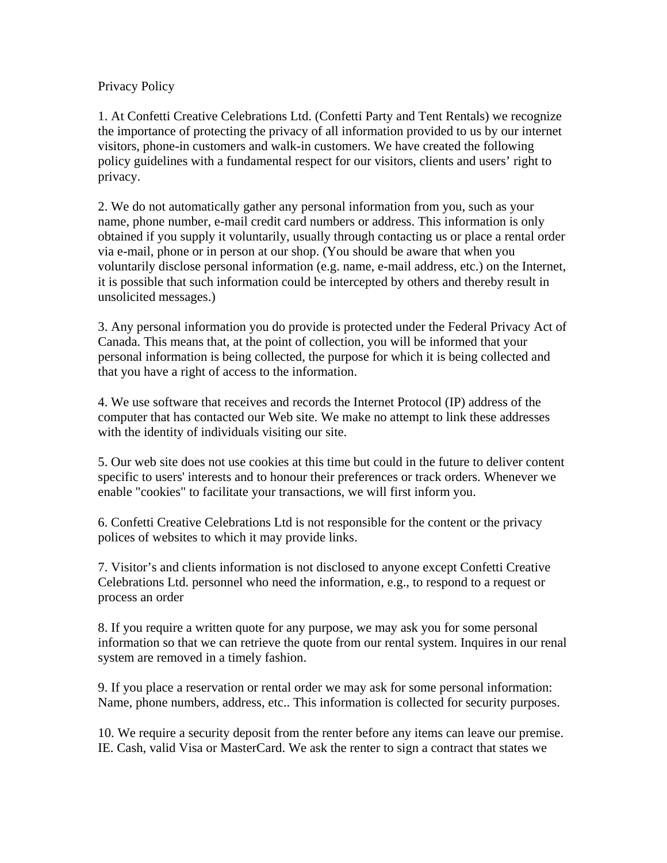## Privacy Policy

1. At Confetti Creative Celebrations Ltd. (Confetti Party and Tent Rentals) we recognize the importance of protecting the privacy of all information provided to us by our internet visitors, phone-in customers and walk-in customers. We have created the following policy guidelines with a fundamental respect for our visitors, clients and users' right to privacy.

2. We do not automatically gather any personal information from you, such as your name, phone number, e-mail credit card numbers or address. This information is only obtained if you supply it voluntarily, usually through contacting us or place a rental order via e-mail, phone or in person at our shop. (You should be aware that when you voluntarily disclose personal information (e.g. name, e-mail address, etc.) on the Internet, it is possible that such information could be intercepted by others and thereby result in unsolicited messages.)

3. Any personal information you do provide is protected under the Federal Privacy Act of Canada. This means that, at the point of collection, you will be informed that your personal information is being collected, the purpose for which it is being collected and that you have a right of access to the information.

4. We use software that receives and records the Internet Protocol (IP) address of the computer that has contacted our Web site. We make no attempt to link these addresses with the identity of individuals visiting our site.

5. Our web site does not use cookies at this time but could in the future to deliver content specific to users' interests and to honour their preferences or track orders. Whenever we enable "cookies" to facilitate your transactions, we will first inform you.

6. Confetti Creative Celebrations Ltd is not responsible for the content or the privacy polices of websites to which it may provide links.

7. Visitor's and clients information is not disclosed to anyone except Confetti Creative Celebrations Ltd. personnel who need the information, e.g., to respond to a request or process an order

8. If you require a written quote for any purpose, we may ask you for some personal information so that we can retrieve the quote from our rental system. Inquires in our renal system are removed in a timely fashion.

9. If you place a reservation or rental order we may ask for some personal information: Name, phone numbers, address, etc.. This information is collected for security purposes.

10. We require a security deposit from the renter before any items can leave our premise. IE. Cash, valid Visa or MasterCard. We ask the renter to sign a contract that states we